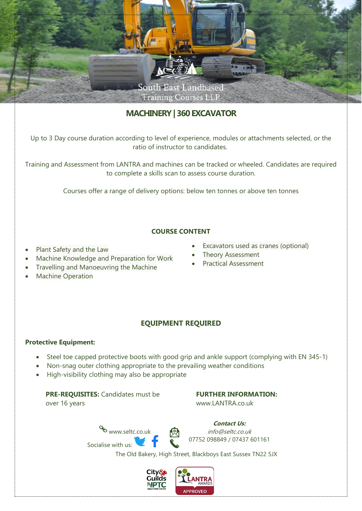

# **MACHINERY| 360 EXCAVATOR**

Up to 3 Day course duration according to level of experience, modules or attachments selected, or the ratio of instructor to candidates.

Training and Assessment from LANTRA and machines can be tracked or wheeled. Candidates are required to complete a skills scan to assess course duration.

Courses offer a range of delivery options: below ten tonnes or above ten tonnes

### **COURSE CONTENT**

- Plant Safety and the Law
- Machine Knowledge and Preparation for Work
- Travelling and Manoeuvring the Machine
- **Machine Operation**
- Excavators used as cranes (optional)
- Theory Assessment
- Practical Assessment

## **EQUIPMENT REQUIRED**

#### **Protective Equipment:**

- Steel toe capped protective boots with good grip and ankle support (complying with EN 345-1)
- Non-snag outer clothing appropriate to the prevailing weather conditions
- High-visibility clothing may also be appropriate

#### **PRE-REQUISITES:** Candidates must be over 16 years

#### **FURTHER INFORMATION:**

[www.LANTRA.co.uk](http://www.lantra.co.uk/)

www.seltc.co.uk Socialise with us:



**Contact Us:** info@seltc.co.uk 07752 098849 / 07437 601161

The Old Bakery, High Street, Blackboys East Sussex TN22 5JX